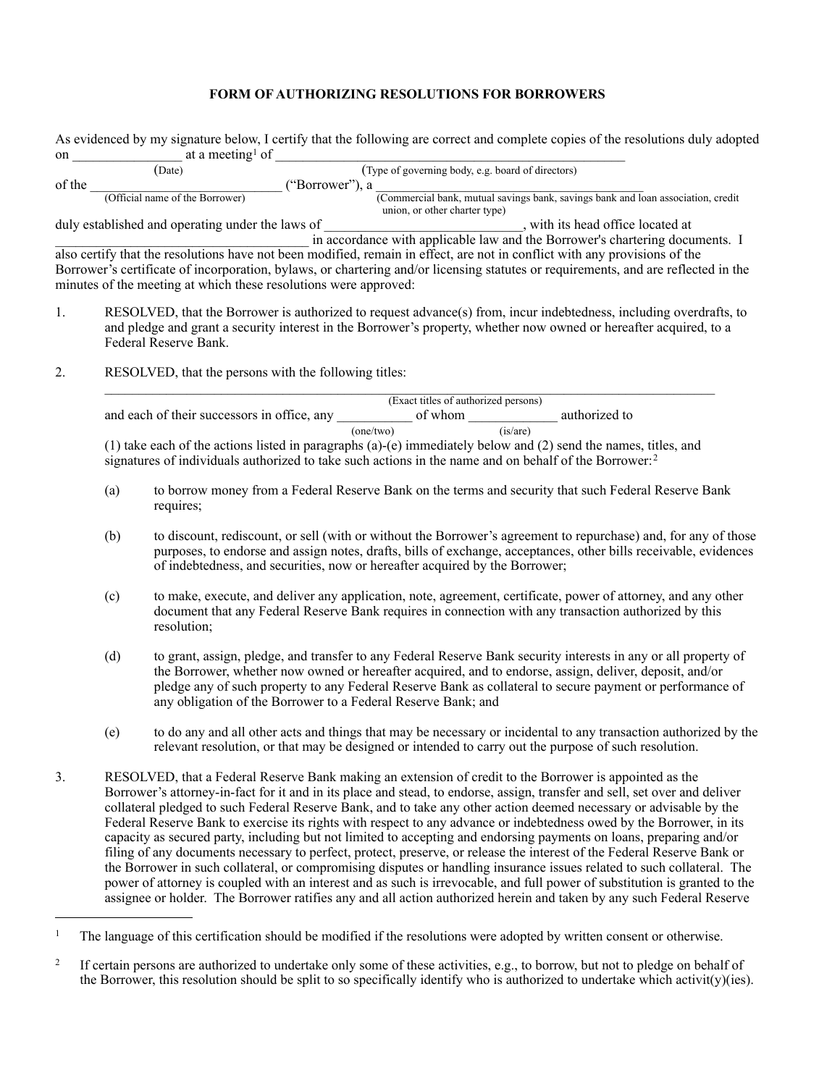## **FORM OF AUTHORIZING RESOLUTIONS FOR BORROWERS**

| on             |                                                                                                                                                                                                                                                                                                                                                                                                                                                                                                                                                                                                                                                                                                                                                                                                                                                                                                                                                                                                                                                                                                                       | at a meeting <sup>1</sup> of                                                                                         | As evidenced by my signature below, I certify that the following are correct and complete copies of the resolutions duly adopted                                                                                                                                                                                                                                                                         |
|----------------|-----------------------------------------------------------------------------------------------------------------------------------------------------------------------------------------------------------------------------------------------------------------------------------------------------------------------------------------------------------------------------------------------------------------------------------------------------------------------------------------------------------------------------------------------------------------------------------------------------------------------------------------------------------------------------------------------------------------------------------------------------------------------------------------------------------------------------------------------------------------------------------------------------------------------------------------------------------------------------------------------------------------------------------------------------------------------------------------------------------------------|----------------------------------------------------------------------------------------------------------------------|----------------------------------------------------------------------------------------------------------------------------------------------------------------------------------------------------------------------------------------------------------------------------------------------------------------------------------------------------------------------------------------------------------|
|                |                                                                                                                                                                                                                                                                                                                                                                                                                                                                                                                                                                                                                                                                                                                                                                                                                                                                                                                                                                                                                                                                                                                       | (Date)                                                                                                               | (Type of governing body, e.g. board of directors)                                                                                                                                                                                                                                                                                                                                                        |
| of the         |                                                                                                                                                                                                                                                                                                                                                                                                                                                                                                                                                                                                                                                                                                                                                                                                                                                                                                                                                                                                                                                                                                                       | (Official name of the Borrower)                                                                                      | ("Borrower"), a<br>(Commercial bank, mutual savings bank, savings bank and loan association, credit                                                                                                                                                                                                                                                                                                      |
|                |                                                                                                                                                                                                                                                                                                                                                                                                                                                                                                                                                                                                                                                                                                                                                                                                                                                                                                                                                                                                                                                                                                                       |                                                                                                                      | union, or other charter type)                                                                                                                                                                                                                                                                                                                                                                            |
|                |                                                                                                                                                                                                                                                                                                                                                                                                                                                                                                                                                                                                                                                                                                                                                                                                                                                                                                                                                                                                                                                                                                                       | duly established and operating under the laws of<br>minutes of the meeting at which these resolutions were approved: | _, with its head office located at<br>in accordance with applicable law and the Borrower's chartering documents. I<br>also certify that the resolutions have not been modified, remain in effect, are not in conflict with any provisions of the<br>Borrower's certificate of incorporation, bylaws, or chartering and/or licensing statutes or requirements, and are reflected in the                   |
| 1.             | RESOLVED, that the Borrower is authorized to request advance(s) from, incur indebtedness, including overdrafts, to<br>and pledge and grant a security interest in the Borrower's property, whether now owned or hereafter acquired, to a<br>Federal Reserve Bank.                                                                                                                                                                                                                                                                                                                                                                                                                                                                                                                                                                                                                                                                                                                                                                                                                                                     |                                                                                                                      |                                                                                                                                                                                                                                                                                                                                                                                                          |
| 2.             | RESOLVED, that the persons with the following titles:                                                                                                                                                                                                                                                                                                                                                                                                                                                                                                                                                                                                                                                                                                                                                                                                                                                                                                                                                                                                                                                                 |                                                                                                                      |                                                                                                                                                                                                                                                                                                                                                                                                          |
|                |                                                                                                                                                                                                                                                                                                                                                                                                                                                                                                                                                                                                                                                                                                                                                                                                                                                                                                                                                                                                                                                                                                                       |                                                                                                                      | (Exact titles of authorized persons)                                                                                                                                                                                                                                                                                                                                                                     |
|                | and each of their successors in office, any $\frac{1}{(one/two)}$ of whom $\frac{1}{(is/are)}$ authorized to                                                                                                                                                                                                                                                                                                                                                                                                                                                                                                                                                                                                                                                                                                                                                                                                                                                                                                                                                                                                          |                                                                                                                      |                                                                                                                                                                                                                                                                                                                                                                                                          |
|                | (1) take each of the actions listed in paragraphs (a)-(e) immediately below and (2) send the names, titles, and<br>signatures of individuals authorized to take such actions in the name and on behalf of the Borrower: <sup>2</sup>                                                                                                                                                                                                                                                                                                                                                                                                                                                                                                                                                                                                                                                                                                                                                                                                                                                                                  |                                                                                                                      |                                                                                                                                                                                                                                                                                                                                                                                                          |
|                | (a)                                                                                                                                                                                                                                                                                                                                                                                                                                                                                                                                                                                                                                                                                                                                                                                                                                                                                                                                                                                                                                                                                                                   | requires;                                                                                                            | to borrow money from a Federal Reserve Bank on the terms and security that such Federal Reserve Bank                                                                                                                                                                                                                                                                                                     |
|                | (b)                                                                                                                                                                                                                                                                                                                                                                                                                                                                                                                                                                                                                                                                                                                                                                                                                                                                                                                                                                                                                                                                                                                   |                                                                                                                      | to discount, rediscount, or sell (with or without the Borrower's agreement to repurchase) and, for any of those<br>purposes, to endorse and assign notes, drafts, bills of exchange, acceptances, other bills receivable, evidences<br>of indebtedness, and securities, now or hereafter acquired by the Borrower;                                                                                       |
|                | (c)                                                                                                                                                                                                                                                                                                                                                                                                                                                                                                                                                                                                                                                                                                                                                                                                                                                                                                                                                                                                                                                                                                                   | resolution;                                                                                                          | to make, execute, and deliver any application, note, agreement, certificate, power of attorney, and any other<br>document that any Federal Reserve Bank requires in connection with any transaction authorized by this                                                                                                                                                                                   |
|                | (d)                                                                                                                                                                                                                                                                                                                                                                                                                                                                                                                                                                                                                                                                                                                                                                                                                                                                                                                                                                                                                                                                                                                   |                                                                                                                      | to grant, assign, pledge, and transfer to any Federal Reserve Bank security interests in any or all property of<br>the Borrower, whether now owned or hereafter acquired, and to endorse, assign, deliver, deposit, and/or<br>pledge any of such property to any Federal Reserve Bank as collateral to secure payment or performance of<br>any obligation of the Borrower to a Federal Reserve Bank; and |
|                | (e)                                                                                                                                                                                                                                                                                                                                                                                                                                                                                                                                                                                                                                                                                                                                                                                                                                                                                                                                                                                                                                                                                                                   |                                                                                                                      | to do any and all other acts and things that may be necessary or incidental to any transaction authorized by the<br>relevant resolution, or that may be designed or intended to carry out the purpose of such resolution.                                                                                                                                                                                |
| 3 <sub>1</sub> | RESOLVED, that a Federal Reserve Bank making an extension of credit to the Borrower is appointed as the<br>Borrower's attorney-in-fact for it and in its place and stead, to endorse, assign, transfer and sell, set over and deliver<br>collateral pledged to such Federal Reserve Bank, and to take any other action deemed necessary or advisable by the<br>Federal Reserve Bank to exercise its rights with respect to any advance or indebtedness owed by the Borrower, in its<br>capacity as secured party, including but not limited to accepting and endorsing payments on loans, preparing and/or<br>filing of any documents necessary to perfect, protect, preserve, or release the interest of the Federal Reserve Bank or<br>the Borrower in such collateral, or compromising disputes or handling insurance issues related to such collateral. The<br>power of attorney is coupled with an interest and as such is irrevocable, and full power of substitution is granted to the<br>assignee or holder. The Borrower ratifies any and all action authorized herein and taken by any such Federal Reserve |                                                                                                                      |                                                                                                                                                                                                                                                                                                                                                                                                          |

<span id="page-0-0"></span><sup>&</sup>lt;sup>1</sup> The language of this certification should be modified if the resolutions were adopted by written consent or otherwise.

<span id="page-0-1"></span><sup>&</sup>lt;sup>2</sup> If certain persons are authorized to undertake only some of these activities, e.g., to borrow, but not to pledge on behalf of the Borrower, this resolution should be split to so specifically identify who is authorized to undertake which activit(y)(ies).